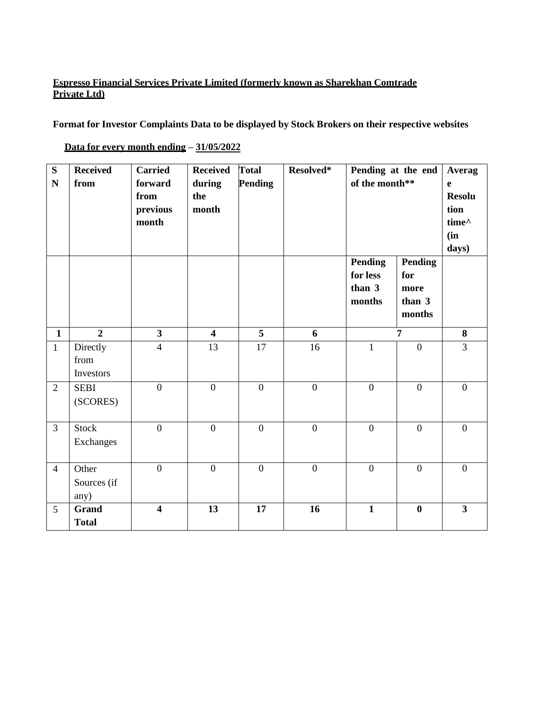## **Espresso Financial Services Private Limited (formerly known as Sharekhan Comtrade Private Ltd)**

**Format for Investor Complaints Data to be displayed by Stock Brokers on their respective websites**

| S<br>$\mathbf N$ | <b>Received</b><br>from       | <b>Carried</b><br>forward<br>from<br>previous<br>month | <b>Received</b><br>during<br>the<br>month | <b>Total</b><br><b>Pending</b> | Resolved*        | Pending at the end<br>of the month**<br><b>Pending</b><br><b>Pending</b><br>for less<br>for<br>than 3<br>more<br>months<br>than 3<br>months |                | Averag<br>e<br><b>Resolu</b><br>tion<br>time^<br>(in<br>days) |
|------------------|-------------------------------|--------------------------------------------------------|-------------------------------------------|--------------------------------|------------------|---------------------------------------------------------------------------------------------------------------------------------------------|----------------|---------------------------------------------------------------|
| $\mathbf{1}$     | $\overline{2}$                | $\overline{\mathbf{3}}$                                | $\overline{\mathbf{4}}$                   | $\overline{5}$                 | 6                |                                                                                                                                             | $\overline{7}$ | 8                                                             |
| $\mathbf{1}$     | Directly<br>from<br>Investors | $\overline{4}$                                         | 13                                        | 17                             | 16               | $\mathbf{1}$                                                                                                                                | $\mathbf{0}$   | $\overline{3}$                                                |
| $\overline{2}$   | <b>SEBI</b><br>(SCORES)       | $\overline{0}$                                         | $\overline{0}$                            | $\overline{0}$                 | $\overline{0}$   | $\overline{0}$                                                                                                                              | $\overline{0}$ | $\overline{0}$                                                |
| $\overline{3}$   | Stock<br>Exchanges            | $\overline{0}$                                         | $\mathbf{0}$                              | $\overline{0}$                 | $\boldsymbol{0}$ | $\mathbf{0}$                                                                                                                                | $\mathbf{0}$   | $\overline{0}$                                                |
| $\overline{4}$   | Other<br>Sources (if<br>any)  | $\overline{0}$                                         | $\overline{0}$                            | $\overline{0}$                 | $\overline{0}$   | $\overline{0}$                                                                                                                              | $\overline{0}$ | $\overline{0}$                                                |
| 5                | <b>Grand</b><br><b>Total</b>  | $\overline{\mathbf{4}}$                                | 13                                        | 17                             | 16               | $\mathbf{1}$                                                                                                                                | $\bf{0}$       | $\overline{3}$                                                |

**Data for every month ending – 31/05/2022**